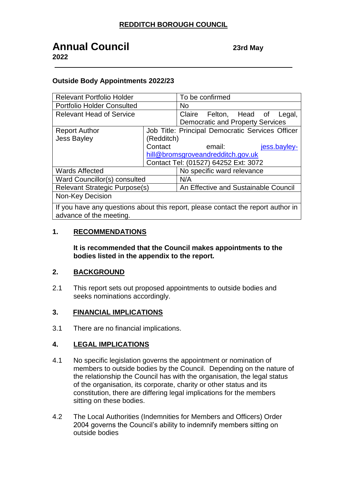# **Annual Council 23rd May**

**2022**

### **Outside Body Appointments 2022/23**

| <b>Relevant Portfolio Holder</b>                                                 |                                      | To be confirmed                                  |        |
|----------------------------------------------------------------------------------|--------------------------------------|--------------------------------------------------|--------|
| <b>Portfolio Holder Consulted</b>                                                |                                      | <b>No</b>                                        |        |
| <b>Relevant Head of Service</b>                                                  |                                      | Claire<br>Felton, Head of                        | Legal, |
|                                                                                  |                                      | <b>Democratic and Property Services</b>          |        |
| <b>Report Author</b>                                                             |                                      | Job Title: Principal Democratic Services Officer |        |
| <b>Jess Bayley</b>                                                               | (Redditch)                           |                                                  |        |
|                                                                                  | Contact                              | email:<br>jess.bayley-                           |        |
|                                                                                  | hill@bromsgroveandredditch.gov.uk    |                                                  |        |
|                                                                                  | Contact Tel: (01527) 64252 Ext: 3072 |                                                  |        |
| <b>Wards Affected</b>                                                            |                                      | No specific ward relevance                       |        |
| Ward Councillor(s) consulted                                                     |                                      | N/A                                              |        |
| <b>Relevant Strategic Purpose(s)</b>                                             |                                      | An Effective and Sustainable Council             |        |
| Non-Key Decision                                                                 |                                      |                                                  |        |
| If you have any questions about this report, please contact the report author in |                                      |                                                  |        |

advance of the meeting.

#### **1. RECOMMENDATIONS**

**It is recommended that the Council makes appointments to the bodies listed in the appendix to the report.**

#### **2. BACKGROUND**

2.1 This report sets out proposed appointments to outside bodies and seeks nominations accordingly.

#### **3. FINANCIAL IMPLICATIONS**

3.1 There are no financial implications.

#### **4. LEGAL IMPLICATIONS**

- 4.1 No specific legislation governs the appointment or nomination of members to outside bodies by the Council. Depending on the nature of the relationship the Council has with the organisation, the legal status of the organisation, its corporate, charity or other status and its constitution, there are differing legal implications for the members sitting on these bodies.
- 4.2 The Local Authorities (Indemnities for Members and Officers) Order 2004 governs the Council's ability to indemnify members sitting on outside bodies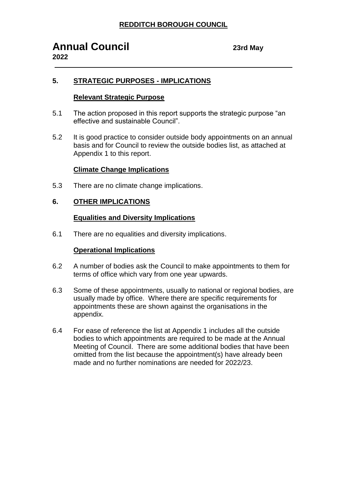# **5. STRATEGIC PURPOSES - IMPLICATIONS**

### **Relevant Strategic Purpose**

- 5.1 The action proposed in this report supports the strategic purpose "an effective and sustainable Council".
- 5.2 It is good practice to consider outside body appointments on an annual basis and for Council to review the outside bodies list, as attached at Appendix 1 to this report.

## **Climate Change Implications**

5.3 There are no climate change implications.

#### **6. OTHER IMPLICATIONS**

#### **Equalities and Diversity Implications**

6.1 There are no equalities and diversity implications.

### **Operational Implications**

- 6.2 A number of bodies ask the Council to make appointments to them for terms of office which vary from one year upwards.
- 6.3 Some of these appointments, usually to national or regional bodies, are usually made by office. Where there are specific requirements for appointments these are shown against the organisations in the appendix.
- 6.4 For ease of reference the list at Appendix 1 includes all the outside bodies to which appointments are required to be made at the Annual Meeting of Council. There are some additional bodies that have been omitted from the list because the appointment(s) have already been made and no further nominations are needed for 2022/23.